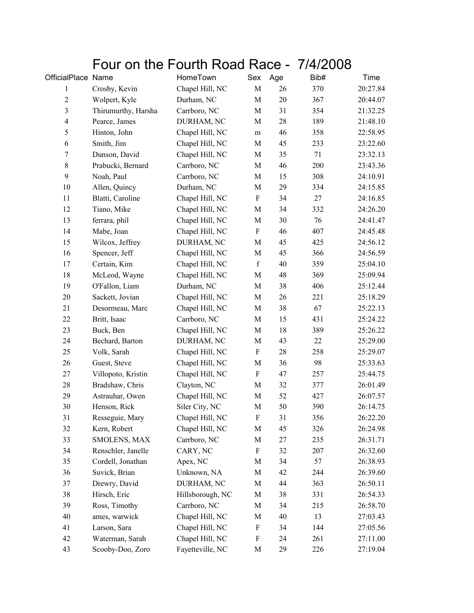## Four on the Fourth Road Race - 7/4/2008

| OfficialPlace Name      |                     | HomeTown         | Sex                       | Age    | Bib# | Time     |
|-------------------------|---------------------|------------------|---------------------------|--------|------|----------|
| 1                       | Crosby, Kevin       | Chapel Hill, NC  | $\mathbf M$               | 26     | 370  | 20:27.84 |
| $\overline{c}$          | Wolpert, Kyle       | Durham, NC       | $\mathbf M$               | $20\,$ | 367  | 20:44.07 |
| $\overline{\mathbf{3}}$ | Thirumurthy, Harsha | Carrboro, NC     | M                         | 31     | 354  | 21:32.25 |
| $\overline{4}$          | Pearce, James       | DURHAM, NC       | M                         | 28     | 189  | 21:48.10 |
| $\mathfrak s$           | Hinton, John        | Chapel Hill, NC  | ${\rm m}$                 | 46     | 358  | 22:58.95 |
| 6                       | Smith, Jim          | Chapel Hill, NC  | $\mathbf M$               | 45     | 233  | 23:22.60 |
| $\boldsymbol{7}$        | Dunson, David       | Chapel Hill, NC  | M                         | 35     | 71   | 23:32.13 |
| $\,$ $\,$               | Prabucki, Bernard   | Carrboro, NC     | M                         | 46     | 200  | 23:43.36 |
| 9                       | Noah, Paul          | Carrboro, NC     | $\mathbf M$               | 15     | 308  | 24:10.91 |
| 10                      | Allen, Quincy       | Durham, NC       | $\mathbf M$               | 29     | 334  | 24:15.85 |
| 11                      | Blatti, Caroline    | Chapel Hill, NC  | $\boldsymbol{\mathrm{F}}$ | 34     | 27   | 24:16.85 |
| 12                      | Tiano, Mike         | Chapel Hill, NC  | M                         | 34     | 332  | 24:26.20 |
| 13                      | ferrara, phil       | Chapel Hill, NC  | M                         | $30\,$ | 76   | 24:41.47 |
| 14                      | Mabe, Joan          | Chapel Hill, NC  | F                         | 46     | 407  | 24:45.48 |
| 15                      | Wilcox, Jeffrey     | DURHAM, NC       | M                         | 45     | 425  | 24:56.12 |
| 16                      | Spencer, Jeff       | Chapel Hill, NC  | $\mathbf M$               | 45     | 366  | 24:56.59 |
| 17                      | Certain, Kim        | Chapel Hill, NC  | $\mathbf f$               | 40     | 359  | 25:04.10 |
| 18                      | McLeod, Wayne       | Chapel Hill, NC  | M                         | 48     | 369  | 25:09.94 |
| 19                      | O'Fallon, Liam      | Durham, NC       | $\mathbf M$               | 38     | 406  | 25:12.44 |
| $20\,$                  | Sackett, Jovian     | Chapel Hill, NC  | $\mathbf M$               | 26     | 221  | 25:18.29 |
| 21                      | Desormeau, Marc     | Chapel Hill, NC  | $\mathbf M$               | 38     | 67   | 25:22.13 |
| 22                      | Britt, Isaac        | Carrboro, NC     | M                         | 15     | 431  | 25:24.22 |
| 23                      | Buck, Ben           | Chapel Hill, NC  | M                         | 18     | 389  | 25:26.22 |
| 24                      | Bechard, Barton     | DURHAM, NC       | M                         | 43     | 22   | 25:29.00 |
| 25                      | Volk, Sarah         | Chapel Hill, NC  | $\boldsymbol{\mathrm{F}}$ | 28     | 258  | 25:29.07 |
| 26                      | Guest, Steve        | Chapel Hill, NC  | M                         | 36     | 98   | 25:33.63 |
| 27                      | Villopoto, Kristin  | Chapel Hill, NC  | $\mathbf F$               | 47     | 257  | 25:44.75 |
| 28                      | Bradshaw, Chris     | Clayton, NC      | M                         | 32     | 377  | 26:01.49 |
| 29                      | Astrauhar, Owen     | Chapel Hill, NC  | M                         | 52     | 427  | 26:07.57 |
| 30                      | Henson, Rick        | Siler City, NC   | $\mathbf M$               | 50     | 390  | 26:14.75 |
| 31                      | Resseguie, Mary     | Chapel Hill, NC  | F                         | 31     | 356  | 26:22.20 |
| 32                      | Kern, Robert        | Chapel Hill, NC  | M                         | 45     | 326  | 26:24.98 |
| 33                      | SMOLENS, MAX        | Carrboro, NC     | M                         | 27     | 235  | 26:31.71 |
| 34                      | Renschler, Janelle  | CARY, NC         | $\boldsymbol{\mathrm{F}}$ | 32     | 207  | 26:32.60 |
| 35                      | Cordell, Jonathan   | Apex, NC         | M                         | 34     | 57   | 26:38.93 |
| 36                      | Suvick, Brian       | Unknown, NA      | M                         | 42     | 244  | 26:39.60 |
| 37                      | Drewry, David       | DURHAM, NC       | M                         | 44     | 363  | 26:50.11 |
| 38                      | Hirsch, Eric        | Hillsborough, NC | M                         | 38     | 331  | 26:54.33 |
| 39                      | Ross, Timothy       | Carrboro, NC     | M                         | 34     | 215  | 26:58.70 |
| 40                      | ames, warwick       | Chapel Hill, NC  | M                         | 40     | 13   | 27:03.43 |
| 41                      | Larson, Sara        | Chapel Hill, NC  | F                         | 34     | 144  | 27:05.56 |
| 42                      | Waterman, Sarah     | Chapel Hill, NC  | F                         | 24     | 261  | 27:11.00 |
| 43                      | Scooby-Doo, Zoro    | Fayetteville, NC | M                         | 29     | 226  | 27:19.04 |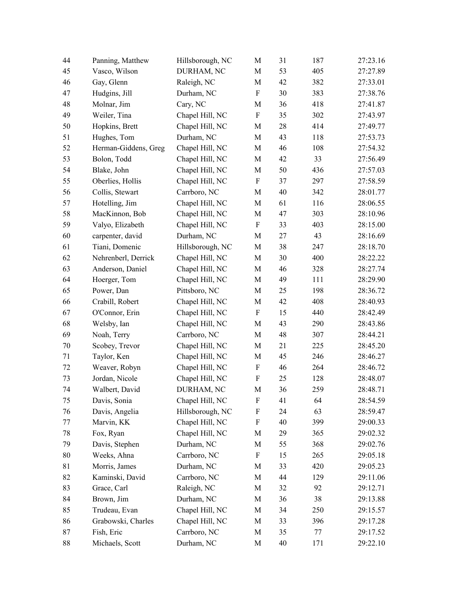| 44 | Panning, Matthew     | Hillsborough, NC | $\mathbf M$               | 31 | 187 | 27:23.16 |
|----|----------------------|------------------|---------------------------|----|-----|----------|
| 45 | Vasco, Wilson        | DURHAM, NC       | M                         | 53 | 405 | 27:27.89 |
| 46 | Gay, Glenn           | Raleigh, NC      | $\mathbf M$               | 42 | 382 | 27:33.01 |
| 47 | Hudgins, Jill        | Durham, NC       | $\boldsymbol{\mathrm{F}}$ | 30 | 383 | 27:38.76 |
| 48 | Molnar, Jim          | Cary, NC         | M                         | 36 | 418 | 27:41.87 |
| 49 | Weiler, Tina         | Chapel Hill, NC  | ${\bf F}$                 | 35 | 302 | 27:43.97 |
| 50 | Hopkins, Brett       | Chapel Hill, NC  | M                         | 28 | 414 | 27:49.77 |
| 51 | Hughes, Tom          | Durham, NC       | $\mathbf M$               | 43 | 118 | 27:53.73 |
| 52 | Herman-Giddens, Greg | Chapel Hill, NC  | M                         | 46 | 108 | 27:54.32 |
| 53 | Bolon, Todd          | Chapel Hill, NC  | $\mathbf M$               | 42 | 33  | 27:56.49 |
| 54 | Blake, John          | Chapel Hill, NC  | $\mathbf M$               | 50 | 436 | 27:57.03 |
| 55 | Oberlies, Hollis     | Chapel Hill, NC  | $\boldsymbol{\mathrm{F}}$ | 37 | 297 | 27:58.59 |
| 56 | Collis, Stewart      | Carrboro, NC     | $\mathbf M$               | 40 | 342 | 28:01.77 |
| 57 | Hotelling, Jim       | Chapel Hill, NC  | $\mathbf M$               | 61 | 116 | 28:06.55 |
| 58 | MacKinnon, Bob       | Chapel Hill, NC  | $\mathbf M$               | 47 | 303 | 28:10.96 |
| 59 | Valyo, Elizabeth     | Chapel Hill, NC  | $\boldsymbol{F}$          | 33 | 403 | 28:15.00 |
| 60 | carpenter, david     | Durham, NC       | $\mathbf M$               | 27 | 43  | 28:16.69 |
| 61 | Tiani, Domenic       | Hillsborough, NC | M                         | 38 | 247 | 28:18.70 |
| 62 | Nehrenberl, Derrick  | Chapel Hill, NC  | M                         | 30 | 400 | 28:22.22 |
| 63 | Anderson, Daniel     | Chapel Hill, NC  | $\mathbf M$               | 46 | 328 | 28:27.74 |
| 64 | Hoerger, Tom         | Chapel Hill, NC  | $\mathbf M$               | 49 | 111 | 28:29.90 |
| 65 | Power, Dan           | Pittsboro, NC    | $\mathbf M$               | 25 | 198 | 28:36.72 |
| 66 | Crabill, Robert      | Chapel Hill, NC  | M                         | 42 | 408 | 28:40.93 |
| 67 | O'Connor, Erin       | Chapel Hill, NC  | $\boldsymbol{\mathrm{F}}$ | 15 | 440 | 28:42.49 |
| 68 | Welsby, Ian          | Chapel Hill, NC  | $\mathbf M$               | 43 | 290 | 28:43.86 |
| 69 | Noah, Terry          | Carrboro, NC     | $\mathbf M$               | 48 | 307 | 28:44.21 |
| 70 | Scobey, Trevor       | Chapel Hill, NC  | M                         | 21 | 225 | 28:45.20 |
| 71 | Taylor, Ken          | Chapel Hill, NC  | $\mathbf M$               | 45 | 246 | 28:46.27 |
| 72 | Weaver, Robyn        | Chapel Hill, NC  | $\boldsymbol{\mathrm{F}}$ | 46 | 264 | 28:46.72 |
| 73 | Jordan, Nicole       | Chapel Hill, NC  | $\boldsymbol{\mathrm{F}}$ | 25 | 128 | 28:48.07 |
| 74 | Walbert, David       | DURHAM, NC       | $\mathbf M$               | 36 | 259 | 28:48.71 |
| 75 | Davis, Sonia         | Chapel Hill, NC  | F                         | 41 | 64  | 28:54.59 |
| 76 | Davis, Angelia       | Hillsborough, NC | F                         | 24 | 63  | 28:59.47 |
| 77 | Marvin, KK           | Chapel Hill, NC  | $\boldsymbol{\mathrm{F}}$ | 40 | 399 | 29:00.33 |
| 78 | Fox, Ryan            | Chapel Hill, NC  | M                         | 29 | 365 | 29:02.32 |
| 79 | Davis, Stephen       | Durham, NC       | M                         | 55 | 368 | 29:02.76 |
| 80 | Weeks, Ahna          | Carrboro, NC     | F                         | 15 | 265 | 29:05.18 |
| 81 | Morris, James        | Durham, NC       | M                         | 33 | 420 | 29:05.23 |
| 82 | Kaminski, David      | Carrboro, NC     | M                         | 44 | 129 | 29:11.06 |
| 83 | Grace, Carl          | Raleigh, NC      | M                         | 32 | 92  | 29:12.71 |
| 84 | Brown, Jim           | Durham, NC       | M                         | 36 | 38  | 29:13.88 |
| 85 | Trudeau, Evan        | Chapel Hill, NC  | M                         | 34 | 250 | 29:15.57 |
| 86 | Grabowski, Charles   | Chapel Hill, NC  | M                         | 33 | 396 | 29:17.28 |
| 87 | Fish, Eric           | Carrboro, NC     | M                         | 35 | 77  | 29:17.52 |
| 88 | Michaels, Scott      | Durham, NC       | M                         | 40 | 171 | 29:22.10 |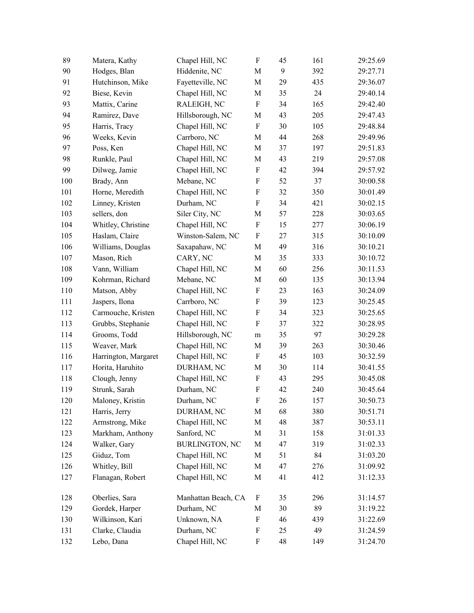| 89  | Matera, Kathy        | Chapel Hill, NC       | $\boldsymbol{\mathrm{F}}$ | 45 | 161 | 29:25.69 |
|-----|----------------------|-----------------------|---------------------------|----|-----|----------|
| 90  | Hodges, Blan         | Hiddenite, NC         | M                         | 9  | 392 | 29:27.71 |
| 91  | Hutchinson, Mike     | Fayetteville, NC      | $\mathbf M$               | 29 | 435 | 29:36.07 |
| 92  | Biese, Kevin         | Chapel Hill, NC       | M                         | 35 | 24  | 29:40.14 |
| 93  | Mattix, Carine       | RALEIGH, NC           | F                         | 34 | 165 | 29:42.40 |
| 94  | Ramirez, Dave        | Hillsborough, NC      | M                         | 43 | 205 | 29:47.43 |
| 95  | Harris, Tracy        | Chapel Hill, NC       | F                         | 30 | 105 | 29:48.84 |
| 96  | Weeks, Kevin         | Carrboro, NC          | M                         | 44 | 268 | 29:49.96 |
| 97  | Poss, Ken            | Chapel Hill, NC       | M                         | 37 | 197 | 29:51.83 |
| 98  | Runkle, Paul         | Chapel Hill, NC       | M                         | 43 | 219 | 29:57.08 |
| 99  | Dilweg, Jamie        | Chapel Hill, NC       | F                         | 42 | 394 | 29:57.92 |
| 100 | Brady, Ann           | Mebane, NC            | $\boldsymbol{\mathrm{F}}$ | 52 | 37  | 30:00.58 |
| 101 | Horne, Meredith      | Chapel Hill, NC       | F                         | 32 | 350 | 30:01.49 |
| 102 | Linney, Kristen      | Durham, NC            | $\boldsymbol{\mathrm{F}}$ | 34 | 421 | 30:02.15 |
| 103 | sellers, don         | Siler City, NC        | M                         | 57 | 228 | 30:03.65 |
| 104 | Whitley, Christine   | Chapel Hill, NC       | $\boldsymbol{\mathrm{F}}$ | 15 | 277 | 30:06.19 |
| 105 | Haslam, Claire       | Winston-Salem, NC     | $\boldsymbol{\mathrm{F}}$ | 27 | 315 | 30:10.09 |
| 106 | Williams, Douglas    | Saxapahaw, NC         | M                         | 49 | 316 | 30:10.21 |
| 107 | Mason, Rich          | CARY, NC              | М                         | 35 | 333 | 30:10.72 |
| 108 | Vann, William        | Chapel Hill, NC       | M                         | 60 | 256 | 30:11.53 |
| 109 | Kohrman, Richard     | Mebane, NC            | M                         | 60 | 135 | 30:13.94 |
| 110 | Matson, Abby         | Chapel Hill, NC       | F                         | 23 | 163 | 30:24.09 |
| 111 | Jaspers, Ilona       | Carrboro, NC          | $\boldsymbol{\mathrm{F}}$ | 39 | 123 | 30:25.45 |
| 112 | Carmouche, Kristen   | Chapel Hill, NC       | F                         | 34 | 323 | 30:25.65 |
| 113 | Grubbs, Stephanie    | Chapel Hill, NC       | $\boldsymbol{\mathrm{F}}$ | 37 | 322 | 30:28.95 |
| 114 | Grooms, Todd         | Hillsborough, NC      | m                         | 35 | 97  | 30:29.28 |
| 115 | Weaver, Mark         | Chapel Hill, NC       | M                         | 39 | 263 | 30:30.46 |
| 116 | Harrington, Margaret | Chapel Hill, NC       | F                         | 45 | 103 | 30:32.59 |
| 117 | Horita, Haruhito     | DURHAM, NC            | M                         | 30 | 114 | 30:41.55 |
| 118 | Clough, Jenny        | Chapel Hill, NC       | F                         | 43 | 295 | 30:45.08 |
| 119 | Strunk, Sarah        | Durham, NC            | ${\rm F}$                 | 42 | 240 | 30:45.64 |
| 120 | Maloney, Kristin     | Durham, NC            | F                         | 26 | 157 | 30:50.73 |
| 121 | Harris, Jerry        | DURHAM, NC            | М                         | 68 | 380 | 30:51.71 |
| 122 | Armstrong, Mike      | Chapel Hill, NC       | М                         | 48 | 387 | 30:53.11 |
| 123 | Markham, Anthony     | Sanford, NC           | М                         | 31 | 158 | 31:01.33 |
| 124 | Walker, Gary         | <b>BURLINGTON, NC</b> | M                         | 47 | 319 | 31:02.33 |
| 125 | Giduz, Tom           | Chapel Hill, NC       | М                         | 51 | 84  | 31:03.20 |
| 126 | Whitley, Bill        | Chapel Hill, NC       | М                         | 47 | 276 | 31:09.92 |
| 127 | Flanagan, Robert     | Chapel Hill, NC       | М                         | 41 | 412 | 31:12.33 |
| 128 | Oberlies, Sara       | Manhattan Beach, CA   | F                         | 35 | 296 | 31:14.57 |
| 129 | Gordek, Harper       | Durham, NC            | M                         | 30 | 89  | 31:19.22 |
| 130 | Wilkinson, Kari      | Unknown, NA           | F                         | 46 | 439 | 31:22.69 |
| 131 | Clarke, Claudia      | Durham, NC            | F                         | 25 | 49  | 31:24.59 |
| 132 | Lebo, Dana           | Chapel Hill, NC       | F                         | 48 | 149 | 31:24.70 |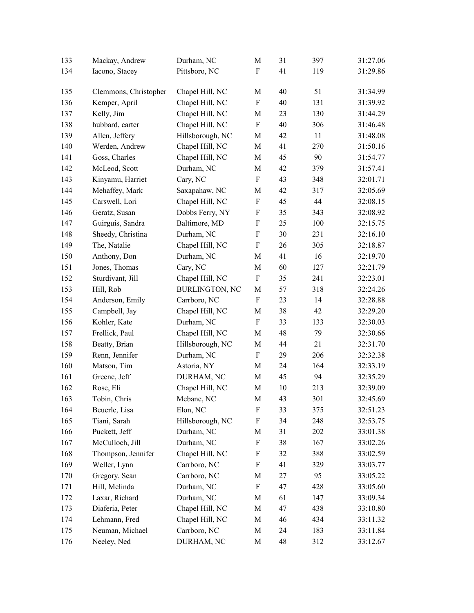| 133 | Mackay, Andrew        | Durham, NC            | M                         | 31 | 397 | 31:27.06 |
|-----|-----------------------|-----------------------|---------------------------|----|-----|----------|
| 134 | Iacono, Stacey        | Pittsboro, NC         | F                         | 41 | 119 | 31:29.86 |
| 135 | Clemmons, Christopher | Chapel Hill, NC       | М                         | 40 | 51  | 31:34.99 |
| 136 | Kemper, April         | Chapel Hill, NC       | $\boldsymbol{\mathrm{F}}$ | 40 | 131 | 31:39.92 |
| 137 | Kelly, Jim            | Chapel Hill, NC       | M                         | 23 | 130 | 31:44.29 |
| 138 | hubbard, carter       | Chapel Hill, NC       | ${\bf F}$                 | 40 | 306 | 31:46.48 |
| 139 | Allen, Jeffery        | Hillsborough, NC      | М                         | 42 | 11  | 31:48.08 |
| 140 | Werden, Andrew        | Chapel Hill, NC       | М                         | 41 | 270 | 31:50.16 |
| 141 | Goss, Charles         | Chapel Hill, NC       | М                         | 45 | 90  | 31:54.77 |
| 142 | McLeod, Scott         | Durham, NC            | M                         | 42 | 379 | 31:57.41 |
| 143 | Kinyamu, Harriet      | Cary, NC              | $\boldsymbol{\mathrm{F}}$ | 43 | 348 | 32:01.71 |
| 144 | Mehaffey, Mark        | Saxapahaw, NC         | M                         | 42 | 317 | 32:05.69 |
| 145 | Carswell, Lori        | Chapel Hill, NC       | F                         | 45 | 44  | 32:08.15 |
| 146 | Geratz, Susan         | Dobbs Ferry, NY       | $\boldsymbol{\mathrm{F}}$ | 35 | 343 | 32:08.92 |
| 147 | Guirguis, Sandra      | Baltimore, MD         | $\boldsymbol{\mathrm{F}}$ | 25 | 100 | 32:15.75 |
| 148 | Sheedy, Christina     | Durham, NC            | F                         | 30 | 231 | 32:16.10 |
| 149 | The, Natalie          | Chapel Hill, NC       | $\boldsymbol{\mathrm{F}}$ | 26 | 305 | 32:18.87 |
| 150 | Anthony, Don          | Durham, NC            | М                         | 41 | 16  | 32:19.70 |
| 151 | Jones, Thomas         | Cary, NC              | М                         | 60 | 127 | 32:21.79 |
| 152 | Sturdivant, Jill      | Chapel Hill, NC       | $\boldsymbol{\mathrm{F}}$ | 35 | 241 | 32:23.01 |
| 153 | Hill, Rob             | <b>BURLINGTON, NC</b> | M                         | 57 | 318 | 32:24.26 |
| 154 | Anderson, Emily       | Carrboro, NC          | $\boldsymbol{\mathrm{F}}$ | 23 | 14  | 32:28.88 |
| 155 | Campbell, Jay         | Chapel Hill, NC       | M                         | 38 | 42  | 32:29.20 |
| 156 | Kohler, Kate          | Durham, NC            | $\boldsymbol{\mathrm{F}}$ | 33 | 133 | 32:30.03 |
| 157 | Frellick, Paul        | Chapel Hill, NC       | M                         | 48 | 79  | 32:30.66 |
| 158 | Beatty, Brian         | Hillsborough, NC      | М                         | 44 | 21  | 32:31.70 |
| 159 | Renn, Jennifer        | Durham, NC            | $\boldsymbol{\mathrm{F}}$ | 29 | 206 | 32:32.38 |
| 160 | Matson, Tim           | Astoria, NY           | М                         | 24 | 164 | 32:33.19 |
| 161 | Greene, Jeff          | DURHAM, NC            | М                         | 45 | 94  | 32:35.29 |
| 162 | Rose, Eli             | Chapel Hill, NC       | М                         | 10 | 213 | 32:39.09 |
| 163 | Tobin, Chris          | Mebane, NC            | M                         | 43 | 301 | 32:45.69 |
| 164 | Beuerle, Lisa         | Elon, NC              | F                         | 33 | 375 | 32:51.23 |
| 165 | Tiani, Sarah          | Hillsborough, NC      | F                         | 34 | 248 | 32:53.75 |
| 166 | Puckett, Jeff         | Durham, NC            | M                         | 31 | 202 | 33:01.38 |
| 167 | McCulloch, Jill       | Durham, NC            | F                         | 38 | 167 | 33:02.26 |
| 168 | Thompson, Jennifer    | Chapel Hill, NC       | F                         | 32 | 388 | 33:02.59 |
| 169 | Weller, Lynn          | Carrboro, NC          | $\boldsymbol{\mathrm{F}}$ | 41 | 329 | 33:03.77 |
| 170 | Gregory, Sean         | Carrboro, NC          | M                         | 27 | 95  | 33:05.22 |
| 171 | Hill, Melinda         | Durham, NC            | $\boldsymbol{\mathrm{F}}$ | 47 | 428 | 33:05.60 |
| 172 | Laxar, Richard        | Durham, NC            | M                         | 61 | 147 | 33:09.34 |
| 173 | Diaferia, Peter       | Chapel Hill, NC       | М                         | 47 | 438 | 33:10.80 |
| 174 | Lehmann, Fred         | Chapel Hill, NC       | М                         | 46 | 434 | 33:11.32 |
| 175 | Neuman, Michael       | Carrboro, NC          | М                         | 24 | 183 | 33:11.84 |
| 176 | Neeley, Ned           | DURHAM, NC            | М                         | 48 | 312 | 33:12.67 |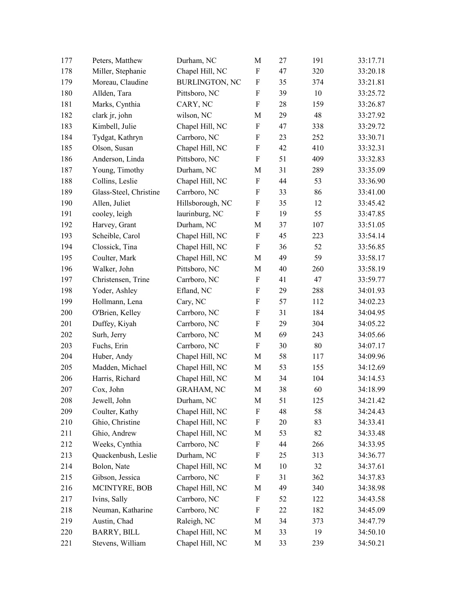| 177 | Peters, Matthew        | Durham, NC            | $\mathbf M$               | 27 | 191    | 33:17.71 |
|-----|------------------------|-----------------------|---------------------------|----|--------|----------|
| 178 | Miller, Stephanie      | Chapel Hill, NC       | ${\bf F}$                 | 47 | 320    | 33:20.18 |
| 179 | Moreau, Claudine       | <b>BURLINGTON, NC</b> | $\boldsymbol{\mathrm{F}}$ | 35 | 374    | 33:21.81 |
| 180 | Allden, Tara           | Pittsboro, NC         | ${\bf F}$                 | 39 | 10     | 33:25.72 |
| 181 | Marks, Cynthia         | CARY, NC              | F                         | 28 | 159    | 33:26.87 |
| 182 | clark jr, john         | wilson, NC            | M                         | 29 | 48     | 33:27.92 |
| 183 | Kimbell, Julie         | Chapel Hill, NC       | F                         | 47 | 338    | 33:29.72 |
| 184 | Tydgat, Kathryn        | Carrboro, NC          | F                         | 23 | 252    | 33:30.71 |
| 185 | Olson, Susan           | Chapel Hill, NC       | F                         | 42 | 410    | 33:32.31 |
| 186 | Anderson, Linda        | Pittsboro, NC         | $\boldsymbol{\mathrm{F}}$ | 51 | 409    | 33:32.83 |
| 187 | Young, Timothy         | Durham, NC            | M                         | 31 | 289    | 33:35.09 |
| 188 | Collins, Leslie        | Chapel Hill, NC       | F                         | 44 | 53     | 33:36.90 |
| 189 | Glass-Steel, Christine | Carrboro, NC          | F                         | 33 | 86     | 33:41.00 |
| 190 | Allen, Juliet          | Hillsborough, NC      | F                         | 35 | 12     | 33:45.42 |
| 191 | cooley, leigh          | laurinburg, NC        | F                         | 19 | 55     | 33:47.85 |
| 192 | Harvey, Grant          | Durham, NC            | M                         | 37 | 107    | 33:51.05 |
| 193 | Scheible, Carol        | Chapel Hill, NC       | F                         | 45 | 223    | 33:54.14 |
| 194 | Clossick, Tina         | Chapel Hill, NC       | F                         | 36 | 52     | 33:56.85 |
| 195 | Coulter, Mark          | Chapel Hill, NC       | M                         | 49 | 59     | 33:58.17 |
| 196 | Walker, John           | Pittsboro, NC         | M                         | 40 | 260    | 33:58.19 |
| 197 | Christensen, Trine     | Carrboro, NC          | F                         | 41 | 47     | 33:59.77 |
| 198 | Yoder, Ashley          | Efland, NC            | $\boldsymbol{\mathrm{F}}$ | 29 | 288    | 34:01.93 |
| 199 | Hollmann, Lena         | Cary, NC              | F                         | 57 | 112    | 34:02.23 |
| 200 | O'Brien, Kelley        | Carrboro, NC          | $\boldsymbol{\mathrm{F}}$ | 31 | 184    | 34:04.95 |
| 201 | Duffey, Kiyah          | Carrboro, NC          | $\boldsymbol{\mathrm{F}}$ | 29 | 304    | 34:05.22 |
| 202 | Surh, Jerry            | Carrboro, NC          | M                         | 69 | 243    | 34:05.66 |
| 203 | Fuchs, Erin            | Carrboro, NC          | F                         | 30 | $80\,$ | 34:07.17 |
| 204 | Huber, Andy            | Chapel Hill, NC       | $\mathbf M$               | 58 | 117    | 34:09.96 |
| 205 | Madden, Michael        | Chapel Hill, NC       | M                         | 53 | 155    | 34:12.69 |
| 206 | Harris, Richard        | Chapel Hill, NC       | M                         | 34 | 104    | 34:14.53 |
| 207 | Cox, John              | <b>GRAHAM, NC</b>     | $\mathbf M$               | 38 | 60     | 34:18.99 |
| 208 | Jewell, John           | Durham, NC            | M                         | 51 | 125    | 34:21.42 |
| 209 | Coulter, Kathy         | Chapel Hill, NC       | F                         | 48 | 58     | 34:24.43 |
| 210 | Ghio, Christine        | Chapel Hill, NC       | F                         | 20 | 83     | 34:33.41 |
| 211 | Ghio, Andrew           | Chapel Hill, NC       | M                         | 53 | 82     | 34:33.48 |
| 212 | Weeks, Cynthia         | Carrboro, NC          | F                         | 44 | 266    | 34:33.95 |
| 213 | Quackenbush, Leslie    | Durham, NC            | F                         | 25 | 313    | 34:36.77 |
| 214 | Bolon, Nate            | Chapel Hill, NC       | M                         | 10 | 32     | 34:37.61 |
| 215 | Gibson, Jessica        | Carrboro, NC          | F                         | 31 | 362    | 34:37.83 |
| 216 | MCINTYRE, BOB          | Chapel Hill, NC       | M                         | 49 | 340    | 34:38.98 |
| 217 | Ivins, Sally           | Carrboro, NC          | F                         | 52 | 122    | 34:43.58 |
| 218 | Neuman, Katharine      | Carrboro, NC          | F                         | 22 | 182    | 34:45.09 |
| 219 | Austin, Chad           | Raleigh, NC           | M                         | 34 | 373    | 34:47.79 |
| 220 | BARRY, BILL            | Chapel Hill, NC       | M                         | 33 | 19     | 34:50.10 |
| 221 | Stevens, William       | Chapel Hill, NC       | M                         | 33 | 239    | 34:50.21 |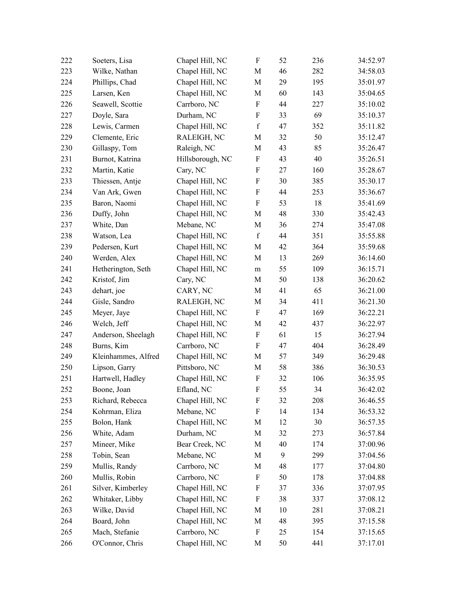| 222 | Soeters, Lisa       | Chapel Hill, NC  | $\boldsymbol{\mathrm{F}}$ | 52 | 236 | 34:52.97 |
|-----|---------------------|------------------|---------------------------|----|-----|----------|
| 223 | Wilke, Nathan       | Chapel Hill, NC  | M                         | 46 | 282 | 34:58.03 |
| 224 | Phillips, Chad      | Chapel Hill, NC  | $\mathbf M$               | 29 | 195 | 35:01.97 |
| 225 | Larsen, Ken         | Chapel Hill, NC  | M                         | 60 | 143 | 35:04.65 |
| 226 | Seawell, Scottie    | Carrboro, NC     | $\boldsymbol{\mathrm{F}}$ | 44 | 227 | 35:10.02 |
| 227 | Doyle, Sara         | Durham, NC       | $\boldsymbol{\mathrm{F}}$ | 33 | 69  | 35:10.37 |
| 228 | Lewis, Carmen       | Chapel Hill, NC  | $\mathbf f$               | 47 | 352 | 35:11.82 |
| 229 | Clemente, Eric      | RALEIGH, NC      | M                         | 32 | 50  | 35:12.47 |
| 230 | Gillaspy, Tom       | Raleigh, NC      | M                         | 43 | 85  | 35:26.47 |
| 231 | Burnot, Katrina     | Hillsborough, NC | F                         | 43 | 40  | 35:26.51 |
| 232 | Martin, Katie       | Cary, NC         | $\boldsymbol{\mathrm{F}}$ | 27 | 160 | 35:28.67 |
| 233 | Thiessen, Antje     | Chapel Hill, NC  | $\boldsymbol{\mathrm{F}}$ | 30 | 385 | 35:30.17 |
| 234 | Van Ark, Gwen       | Chapel Hill, NC  | $\boldsymbol{\mathrm{F}}$ | 44 | 253 | 35:36.67 |
| 235 | Baron, Naomi        | Chapel Hill, NC  | $\boldsymbol{\mathrm{F}}$ | 53 | 18  | 35:41.69 |
| 236 | Duffy, John         | Chapel Hill, NC  | M                         | 48 | 330 | 35:42.43 |
| 237 | White, Dan          | Mebane, NC       | M                         | 36 | 274 | 35:47.08 |
| 238 | Watson, Lea         | Chapel Hill, NC  | $\mathbf f$               | 44 | 351 | 35:55.88 |
| 239 | Pedersen, Kurt      | Chapel Hill, NC  | M                         | 42 | 364 | 35:59.68 |
| 240 | Werden, Alex        | Chapel Hill, NC  | M                         | 13 | 269 | 36:14.60 |
| 241 | Hetherington, Seth  | Chapel Hill, NC  | m                         | 55 | 109 | 36:15.71 |
| 242 | Kristof, Jim        | Cary, NC         | M                         | 50 | 138 | 36:20.62 |
| 243 | dehart, joe         | CARY, NC         | M                         | 41 | 65  | 36:21.00 |
| 244 | Gisle, Sandro       | RALEIGH, NC      | M                         | 34 | 411 | 36:21.30 |
| 245 | Meyer, Jaye         | Chapel Hill, NC  | $\boldsymbol{\mathrm{F}}$ | 47 | 169 | 36:22.21 |
| 246 | Welch, Jeff         | Chapel Hill, NC  | M                         | 42 | 437 | 36:22.97 |
| 247 | Anderson, Sheelagh  | Chapel Hill, NC  | $\boldsymbol{\mathrm{F}}$ | 61 | 15  | 36:27.94 |
| 248 | Burns, Kim          | Carrboro, NC     | $\rm F$                   | 47 | 404 | 36:28.49 |
| 249 | Kleinhammes, Alfred | Chapel Hill, NC  | M                         | 57 | 349 | 36:29.48 |
| 250 | Lipson, Garry       | Pittsboro, NC    | M                         | 58 | 386 | 36:30.53 |
| 251 | Hartwell, Hadley    | Chapel Hill, NC  | F                         | 32 | 106 | 36:35.95 |
| 252 | Boone, Joan         | Efland, NC       | ${\bf F}$                 | 55 | 34  | 36:42.02 |
| 253 | Richard, Rebecca    | Chapel Hill, NC  | F                         | 32 | 208 | 36:46.55 |
| 254 | Kohrman, Eliza      | Mebane, NC       | F                         | 14 | 134 | 36:53.32 |
| 255 | Bolon, Hank         | Chapel Hill, NC  | M                         | 12 | 30  | 36:57.35 |
| 256 | White, Adam         | Durham, NC       | M                         | 32 | 273 | 36:57.84 |
| 257 | Mineer, Mike        | Bear Creek, NC   | M                         | 40 | 174 | 37:00.96 |
| 258 | Tobin, Sean         | Mebane, NC       | M                         | 9  | 299 | 37:04.56 |
| 259 | Mullis, Randy       | Carrboro, NC     | М                         | 48 | 177 | 37:04.80 |
| 260 | Mullis, Robin       | Carrboro, NC     | F                         | 50 | 178 | 37:04.88 |
| 261 | Silver, Kimberley   | Chapel Hill, NC  | F                         | 37 | 336 | 37:07.95 |
| 262 | Whitaker, Libby     | Chapel Hill, NC  | F                         | 38 | 337 | 37:08.12 |
| 263 | Wilke, David        | Chapel Hill, NC  | M                         | 10 | 281 | 37:08.21 |
| 264 | Board, John         | Chapel Hill, NC  | M                         | 48 | 395 | 37:15.58 |
| 265 | Mach, Stefanie      | Carrboro, NC     | F                         | 25 | 154 | 37:15.65 |
| 266 | O'Connor, Chris     | Chapel Hill, NC  | М                         | 50 | 441 | 37:17.01 |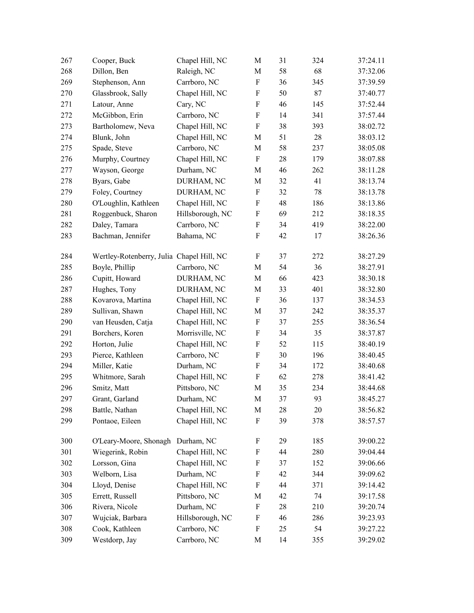| 267 | Cooper, Buck                              | Chapel Hill, NC  | $\mathbf M$               | 31 | 324 | 37:24.11 |
|-----|-------------------------------------------|------------------|---------------------------|----|-----|----------|
| 268 | Dillon, Ben                               | Raleigh, NC      | $\mathbf M$               | 58 | 68  | 37:32.06 |
| 269 | Stephenson, Ann                           | Carrboro, NC     | ${\bf F}$                 | 36 | 345 | 37:39.59 |
| 270 | Glassbrook, Sally                         | Chapel Hill, NC  | F                         | 50 | 87  | 37:40.77 |
| 271 | Latour, Anne                              | Cary, NC         | $\boldsymbol{\mathrm{F}}$ | 46 | 145 | 37:52.44 |
| 272 | McGibbon, Erin                            | Carrboro, NC     | ${\bf F}$                 | 14 | 341 | 37:57.44 |
| 273 | Bartholomew, Neva                         | Chapel Hill, NC  | $\boldsymbol{\mathrm{F}}$ | 38 | 393 | 38:02.72 |
| 274 | Blunk, John                               | Chapel Hill, NC  | M                         | 51 | 28  | 38:03.12 |
| 275 | Spade, Steve                              | Carrboro, NC     | $\mathbf M$               | 58 | 237 | 38:05.08 |
| 276 | Murphy, Courtney                          | Chapel Hill, NC  | $\boldsymbol{\mathrm{F}}$ | 28 | 179 | 38:07.88 |
| 277 | Wayson, George                            | Durham, NC       | M                         | 46 | 262 | 38:11.28 |
| 278 | Byars, Gabe                               | DURHAM, NC       | $\mathbf M$               | 32 | 41  | 38:13.74 |
| 279 | Foley, Courtney                           | DURHAM, NC       | F                         | 32 | 78  | 38:13.78 |
| 280 | O'Loughlin, Kathleen                      | Chapel Hill, NC  | $\boldsymbol{\mathrm{F}}$ | 48 | 186 | 38:13.86 |
| 281 | Roggenbuck, Sharon                        | Hillsborough, NC | ${\bf F}$                 | 69 | 212 | 38:18.35 |
| 282 | Daley, Tamara                             | Carrboro, NC     | $\boldsymbol{\mathrm{F}}$ | 34 | 419 | 38:22.00 |
| 283 | Bachman, Jennifer                         | Bahama, NC       | ${\bf F}$                 | 42 | 17  | 38:26.36 |
| 284 | Wertley-Rotenberry, Julia Chapel Hill, NC |                  | $\boldsymbol{\mathrm{F}}$ | 37 | 272 | 38:27.29 |
| 285 | Boyle, Phillip                            | Carrboro, NC     | M                         | 54 | 36  | 38:27.91 |
| 286 | Cupitt, Howard                            | DURHAM, NC       | $\mathbf M$               | 66 | 423 | 38:30.18 |
| 287 | Hughes, Tony                              | DURHAM, NC       | $\mathbf M$               | 33 | 401 | 38:32.80 |
| 288 | Kovarova, Martina                         | Chapel Hill, NC  | $\boldsymbol{\mathrm{F}}$ | 36 | 137 | 38:34.53 |
| 289 | Sullivan, Shawn                           | Chapel Hill, NC  | $\mathbf M$               | 37 | 242 | 38:35.37 |
| 290 | van Heusden, Catja                        | Chapel Hill, NC  | $\boldsymbol{\mathrm{F}}$ | 37 | 255 | 38:36.54 |
| 291 | Borchers, Koren                           | Morrisville, NC  | $\boldsymbol{\mathrm{F}}$ | 34 | 35  | 38:37.87 |
| 292 | Horton, Julie                             | Chapel Hill, NC  | ${\bf F}$                 | 52 | 115 | 38:40.19 |
| 293 | Pierce, Kathleen                          | Carrboro, NC     | $\rm F$                   | 30 | 196 | 38:40.45 |
| 294 | Miller, Katie                             | Durham, NC       | ${\bf F}$                 | 34 | 172 | 38:40.68 |
| 295 | Whitmore, Sarah                           | Chapel Hill, NC  | $\boldsymbol{\mathrm{F}}$ | 62 | 278 | 38:41.42 |
| 296 | Smitz, Matt                               | Pittsboro, NC    | M                         | 35 | 234 | 38:44.68 |
| 297 | Grant, Garland                            | Durham, NC       | $\mathbf M$               | 37 | 93  | 38:45.27 |
| 298 | Battle, Nathan                            | Chapel Hill, NC  | M                         | 28 | 20  | 38:56.82 |
| 299 | Pontaoe, Eileen                           | Chapel Hill, NC  | ${\bf F}$                 | 39 | 378 | 38:57.57 |
| 300 | O'Leary-Moore, Shonagh                    | Durham, NC       | F                         | 29 | 185 | 39:00.22 |
| 301 | Wiegerink, Robin                          | Chapel Hill, NC  | F                         | 44 | 280 | 39:04.44 |
| 302 | Lorsson, Gina                             | Chapel Hill, NC  | F                         | 37 | 152 | 39:06.66 |
| 303 | Welborn, Lisa                             | Durham, NC       | F                         | 42 | 344 | 39:09.62 |
| 304 | Lloyd, Denise                             | Chapel Hill, NC  | $\boldsymbol{\mathrm{F}}$ | 44 | 371 | 39:14.42 |
| 305 | Errett, Russell                           | Pittsboro, NC    | M                         | 42 | 74  | 39:17.58 |
| 306 | Rivera, Nicole                            | Durham, NC       | F                         | 28 | 210 | 39:20.74 |
| 307 | Wujciak, Barbara                          | Hillsborough, NC | F                         | 46 | 286 | 39:23.93 |
| 308 | Cook, Kathleen                            | Carrboro, NC     | F                         | 25 | 54  | 39:27.22 |
| 309 | Westdorp, Jay                             | Carrboro, NC     | M                         | 14 | 355 | 39:29.02 |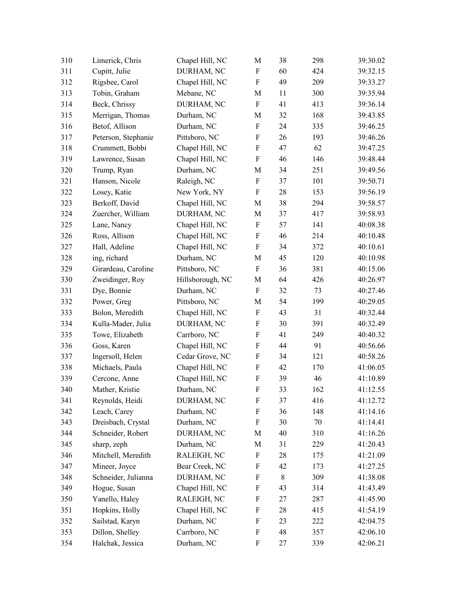| 310 | Limerick, Chris     | Chapel Hill, NC  | $\mathbf M$               | 38 | 298 | 39:30.02 |
|-----|---------------------|------------------|---------------------------|----|-----|----------|
| 311 | Cupitt, Julie       | DURHAM, NC       | $\boldsymbol{\mathrm{F}}$ | 60 | 424 | 39:32.15 |
| 312 | Rigsbee, Carol      | Chapel Hill, NC  | $\boldsymbol{\mathrm{F}}$ | 49 | 209 | 39:33.27 |
| 313 | Tobin, Graham       | Mebane, NC       | M                         | 11 | 300 | 39:35.94 |
| 314 | Beck, Chrissy       | DURHAM, NC       | $\boldsymbol{\mathrm{F}}$ | 41 | 413 | 39:36.14 |
| 315 | Merrigan, Thomas    | Durham, NC       | M                         | 32 | 168 | 39:43.85 |
| 316 | Betof, Allison      | Durham, NC       | $\boldsymbol{\mathrm{F}}$ | 24 | 335 | 39:46.25 |
| 317 | Peterson, Stephanie | Pittsboro, NC    | $\boldsymbol{\mathrm{F}}$ | 26 | 193 | 39:46.26 |
| 318 | Crummett, Bobbi     | Chapel Hill, NC  | $\boldsymbol{\mathrm{F}}$ | 47 | 62  | 39:47.25 |
| 319 | Lawrence, Susan     | Chapel Hill, NC  | $\boldsymbol{\mathrm{F}}$ | 46 | 146 | 39:48.44 |
| 320 | Trump, Ryan         | Durham, NC       | M                         | 34 | 251 | 39:49.56 |
| 321 | Hanson, Nicole      | Raleigh, NC      | $\boldsymbol{\mathrm{F}}$ | 37 | 101 | 39:50.71 |
| 322 | Losey, Katie        | New York, NY     | $\boldsymbol{\mathrm{F}}$ | 28 | 153 | 39:56.19 |
| 323 | Berkoff, David      | Chapel Hill, NC  | M                         | 38 | 294 | 39:58.57 |
| 324 | Zuercher, William   | DURHAM, NC       | M                         | 37 | 417 | 39:58.93 |
| 325 | Lane, Nancy         | Chapel Hill, NC  | F                         | 57 | 141 | 40:08.38 |
| 326 | Ross, Allison       | Chapel Hill, NC  | $\rm F$                   | 46 | 214 | 40:10.48 |
| 327 | Hall, Adeline       | Chapel Hill, NC  | $\boldsymbol{\mathrm{F}}$ | 34 | 372 | 40:10.61 |
| 328 | ing, richard        | Durham, NC       | M                         | 45 | 120 | 40:10.98 |
| 329 | Girardeau, Caroline | Pittsboro, NC    | ${\bf F}$                 | 36 | 381 | 40:15.06 |
| 330 | Zweidinger, Roy     | Hillsborough, NC | M                         | 64 | 426 | 40:26.97 |
| 331 | Dye, Bonnie         | Durham, NC       | $\boldsymbol{\mathrm{F}}$ | 32 | 73  | 40:27.46 |
| 332 | Power, Greg         | Pittsboro, NC    | M                         | 54 | 199 | 40:29.05 |
| 333 | Bolon, Meredith     | Chapel Hill, NC  | F                         | 43 | 31  | 40:32.44 |
| 334 | Kulla-Mader, Julia  | DURHAM, NC       | F                         | 30 | 391 | 40:32.49 |
| 335 | Towe, Elizabeth     | Carrboro, NC     | $\boldsymbol{\mathrm{F}}$ | 41 | 249 | 40:40.32 |
| 336 | Goss, Karen         | Chapel Hill, NC  | $\boldsymbol{\mathrm{F}}$ | 44 | 91  | 40:56.66 |
| 337 | Ingersoll, Helen    | Cedar Grove, NC  | F                         | 34 | 121 | 40:58.26 |
| 338 | Michaels, Paula     | Chapel Hill, NC  | F                         | 42 | 170 | 41:06.05 |
| 339 | Cercone, Anne       | Chapel Hill, NC  | $\boldsymbol{\mathrm{F}}$ | 39 | 46  | 41:10.89 |
| 340 | Mather, Kristie     | Durham, NC       | ${\bf F}$                 | 33 | 162 | 41:12.55 |
| 341 | Reynolds, Heidi     | DURHAM, NC       | F                         | 37 | 416 | 41:12.72 |
| 342 | Leach, Carey        | Durham, NC       | F                         | 36 | 148 | 41:14.16 |
| 343 | Dreisbach, Crystal  | Durham, NC       | $\boldsymbol{\mathrm{F}}$ | 30 | 70  | 41:14.41 |
| 344 | Schneider, Robert   | DURHAM, NC       | M                         | 40 | 310 | 41:16.26 |
| 345 | sharp, zeph         | Durham, NC       | M                         | 31 | 229 | 41:20.43 |
| 346 | Mitchell, Meredith  | RALEIGH, NC      | F                         | 28 | 175 | 41:21.09 |
| 347 | Mineer, Joyce       | Bear Creek, NC   | F                         | 42 | 173 | 41:27.25 |
| 348 | Schneider, Julianna | DURHAM, NC       | F                         | 8  | 309 | 41:38.08 |
| 349 | Hogue, Susan        | Chapel Hill, NC  | F                         | 43 | 314 | 41:43.49 |
| 350 | Yanello, Haley      | RALEIGH, NC      | F                         | 27 | 287 | 41:45.90 |
| 351 | Hopkins, Holly      | Chapel Hill, NC  | F                         | 28 | 415 | 41:54.19 |
| 352 | Sailstad, Karyn     | Durham, NC       | F                         | 23 | 222 | 42:04.75 |
| 353 | Dillon, Shelley     | Carrboro, NC     | F                         | 48 | 357 | 42:06.10 |
| 354 | Halchak, Jessica    | Durham, NC       | F                         | 27 | 339 | 42:06.21 |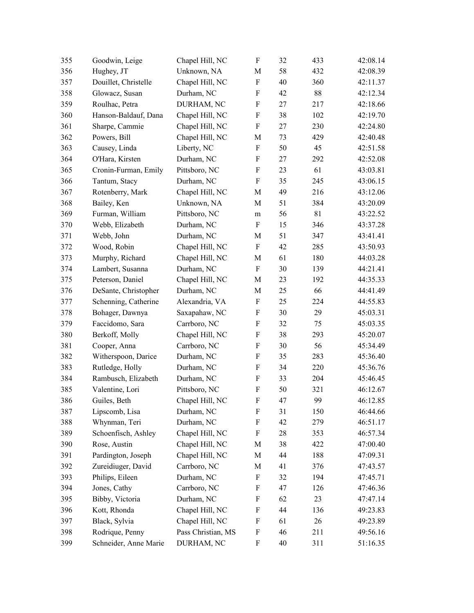| 355 | Goodwin, Leige        | Chapel Hill, NC    | F                         | 32 | 433 | 42:08.14 |
|-----|-----------------------|--------------------|---------------------------|----|-----|----------|
| 356 | Hughey, JT            | Unknown, NA        | M                         | 58 | 432 | 42:08.39 |
| 357 | Douillet, Christelle  | Chapel Hill, NC    | ${\bf F}$                 | 40 | 360 | 42:11.37 |
| 358 | Glowacz, Susan        | Durham, NC         | $\boldsymbol{\mathrm{F}}$ | 42 | 88  | 42:12.34 |
| 359 | Roulhac, Petra        | DURHAM, NC         | $\boldsymbol{\mathrm{F}}$ | 27 | 217 | 42:18.66 |
| 360 | Hanson-Baldauf, Dana  | Chapel Hill, NC    | $\boldsymbol{\mathrm{F}}$ | 38 | 102 | 42:19.70 |
| 361 | Sharpe, Cammie        | Chapel Hill, NC    | $\boldsymbol{\mathrm{F}}$ | 27 | 230 | 42:24.80 |
| 362 | Powers, Bill          | Chapel Hill, NC    | M                         | 73 | 429 | 42:40.48 |
| 363 | Causey, Linda         | Liberty, NC        | F                         | 50 | 45  | 42:51.58 |
| 364 | O'Hara, Kirsten       | Durham, NC         | $\boldsymbol{\mathrm{F}}$ | 27 | 292 | 42:52.08 |
| 365 | Cronin-Furman, Emily  | Pittsboro, NC      | $\boldsymbol{\mathrm{F}}$ | 23 | 61  | 43:03.81 |
| 366 | Tantum, Stacy         | Durham, NC         | ${\bf F}$                 | 35 | 245 | 43:06.15 |
| 367 | Rotenberry, Mark      | Chapel Hill, NC    | M                         | 49 | 216 | 43:12.06 |
| 368 | Bailey, Ken           | Unknown, NA        | M                         | 51 | 384 | 43:20.09 |
| 369 | Furman, William       | Pittsboro, NC      | m                         | 56 | 81  | 43:22.52 |
| 370 | Webb, Elizabeth       | Durham, NC         | F                         | 15 | 346 | 43:37.28 |
| 371 | Webb, John            | Durham, NC         | M                         | 51 | 347 | 43:41.41 |
| 372 | Wood, Robin           | Chapel Hill, NC    | $\boldsymbol{\mathrm{F}}$ | 42 | 285 | 43:50.93 |
| 373 | Murphy, Richard       | Chapel Hill, NC    | M                         | 61 | 180 | 44:03.28 |
| 374 | Lambert, Susanna      | Durham, NC         | $\boldsymbol{\mathrm{F}}$ | 30 | 139 | 44:21.41 |
| 375 | Peterson, Daniel      | Chapel Hill, NC    | M                         | 23 | 192 | 44:35.33 |
| 376 | DeSante, Christopher  | Durham, NC         | M                         | 25 | 66  | 44:41.49 |
| 377 | Schenning, Catherine  | Alexandria, VA     | $\boldsymbol{\mathrm{F}}$ | 25 | 224 | 44:55.83 |
| 378 | Bohager, Dawnya       | Saxapahaw, NC      | F                         | 30 | 29  | 45:03.31 |
| 379 | Faccidomo, Sara       | Carrboro, NC       | $\boldsymbol{\mathrm{F}}$ | 32 | 75  | 45:03.35 |
| 380 | Berkoff, Molly        | Chapel Hill, NC    | $\boldsymbol{\mathrm{F}}$ | 38 | 293 | 45:20.07 |
| 381 | Cooper, Anna          | Carrboro, NC       | $\boldsymbol{\mathrm{F}}$ | 30 | 56  | 45:34.49 |
| 382 | Witherspoon, Darice   | Durham, NC         | $\rm F$                   | 35 | 283 | 45:36.40 |
| 383 | Rutledge, Holly       | Durham, NC         | $\boldsymbol{\mathrm{F}}$ | 34 | 220 | 45:36.76 |
| 384 | Rambusch, Elizabeth   | Durham, NC         | F                         | 33 | 204 | 45:46.45 |
| 385 | Valentine, Lori       | Pittsboro, NC      | F                         | 50 | 321 | 46:12.67 |
| 386 | Guiles, Beth          | Chapel Hill, NC    | ${\bf F}$                 | 47 | 99  | 46:12.85 |
| 387 | Lipscomb, Lisa        | Durham, NC         | F                         | 31 | 150 | 46:44.66 |
| 388 | Whynman, Teri         | Durham, NC         | $\boldsymbol{\mathrm{F}}$ | 42 | 279 | 46:51.17 |
| 389 | Schoenfisch, Ashley   | Chapel Hill, NC    | F                         | 28 | 353 | 46:57.34 |
| 390 | Rose, Austin          | Chapel Hill, NC    | M                         | 38 | 422 | 47:00.40 |
| 391 | Pardington, Joseph    | Chapel Hill, NC    | M                         | 44 | 188 | 47:09.31 |
| 392 | Zureidiuger, David    | Carrboro, NC       | M                         | 41 | 376 | 47:43.57 |
| 393 | Philips, Eileen       | Durham, NC         | F                         | 32 | 194 | 47:45.71 |
| 394 | Jones, Cathy          | Carrboro, NC       | F                         | 47 | 126 | 47:46.36 |
| 395 | Bibby, Victoria       | Durham, NC         | F                         | 62 | 23  | 47:47.14 |
| 396 | Kott, Rhonda          | Chapel Hill, NC    | F                         | 44 | 136 | 49:23.83 |
| 397 | Black, Sylvia         | Chapel Hill, NC    | F                         | 61 | 26  | 49:23.89 |
| 398 | Rodrique, Penny       | Pass Christian, MS | F                         | 46 | 211 | 49:56.16 |
| 399 | Schneider, Anne Marie | DURHAM, NC         | F                         | 40 | 311 | 51:16.35 |